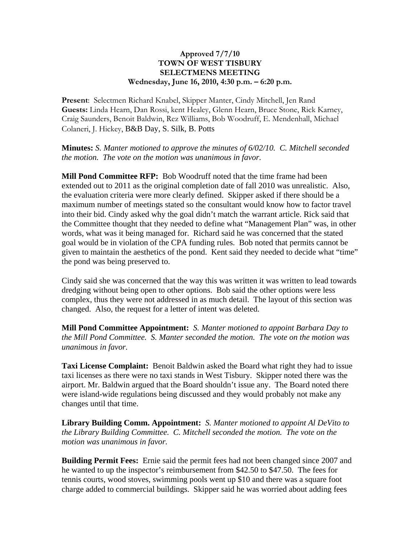## **Approved 7/7/10 TOWN OF WEST TISBURY SELECTMENS MEETING Wednesday, June 16, 2010, 4:30 p.m. – 6:20 p.m.**

**Present**: Selectmen Richard Knabel, Skipper Manter, Cindy Mitchell, Jen Rand **Guests:** Linda Hearn, Dan Rossi, kent Healey, Glenn Hearn, Bruce Stone, Rick Karney, Craig Saunders, Benoit Baldwin, Rez Williams, Bob Woodruff, E. Mendenhall, Michael Colaneri, J. Hickey, B&B Day, S. Silk, B. Potts

**Minutes:** *S. Manter motioned to approve the minutes of 6/02/10. C. Mitchell seconded the motion. The vote on the motion was unanimous in favor.*

**Mill Pond Committee RFP:** Bob Woodruff noted that the time frame had been extended out to 2011 as the original completion date of fall 2010 was unrealistic. Also, the evaluation criteria were more clearly defined. Skipper asked if there should be a maximum number of meetings stated so the consultant would know how to factor travel into their bid. Cindy asked why the goal didn't match the warrant article. Rick said that the Committee thought that they needed to define what "Management Plan" was, in other words, what was it being managed for. Richard said he was concerned that the stated goal would be in violation of the CPA funding rules. Bob noted that permits cannot be given to maintain the aesthetics of the pond. Kent said they needed to decide what "time" the pond was being preserved to.

Cindy said she was concerned that the way this was written it was written to lead towards dredging without being open to other options. Bob said the other options were less complex, thus they were not addressed in as much detail. The layout of this section was changed. Also, the request for a letter of intent was deleted.

**Mill Pond Committee Appointment:** *S. Manter motioned to appoint Barbara Day to the Mill Pond Committee. S. Manter seconded the motion. The vote on the motion was unanimous in favor.*

**Taxi License Complaint:** Benoit Baldwin asked the Board what right they had to issue taxi licenses as there were no taxi stands in West Tisbury. Skipper noted there was the airport. Mr. Baldwin argued that the Board shouldn't issue any. The Board noted there were island-wide regulations being discussed and they would probably not make any changes until that time.

**Library Building Comm. Appointment:** *S. Manter motioned to appoint Al DeVito to the Library Building Committee. C. Mitchell seconded the motion. The vote on the motion was unanimous in favor.*

**Building Permit Fees:** Ernie said the permit fees had not been changed since 2007 and he wanted to up the inspector's reimbursement from \$42.50 to \$47.50. The fees for tennis courts, wood stoves, swimming pools went up \$10 and there was a square foot charge added to commercial buildings. Skipper said he was worried about adding fees